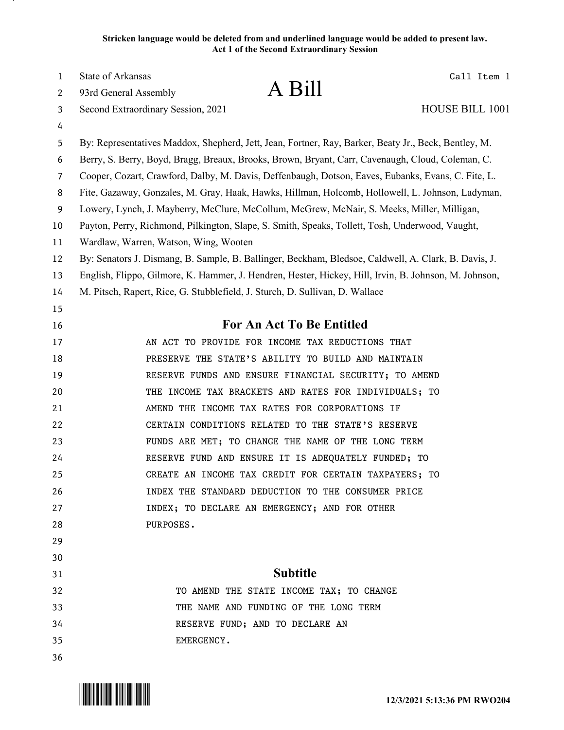# **Stricken language would be deleted from and underlined language would be added to present law. Act 1 of the Second Extraordinary Session**

| $\mathbf{1}$   | State of Arkansas                                                            |                                                                                                       | Call Item 1     |
|----------------|------------------------------------------------------------------------------|-------------------------------------------------------------------------------------------------------|-----------------|
| 2              | 93rd General Assembly                                                        | A Bill                                                                                                |                 |
| 3              | Second Extraordinary Session, 2021                                           |                                                                                                       | HOUSE BILL 1001 |
| 4              |                                                                              |                                                                                                       |                 |
| 5              |                                                                              | By: Representatives Maddox, Shepherd, Jett, Jean, Fortner, Ray, Barker, Beaty Jr., Beck, Bentley, M.  |                 |
| 6              |                                                                              | Berry, S. Berry, Boyd, Bragg, Breaux, Brooks, Brown, Bryant, Carr, Cavenaugh, Cloud, Coleman, C.      |                 |
| $\overline{7}$ |                                                                              | Cooper, Cozart, Crawford, Dalby, M. Davis, Deffenbaugh, Dotson, Eaves, Eubanks, Evans, C. Fite, L.    |                 |
| 8              |                                                                              | Fite, Gazaway, Gonzales, M. Gray, Haak, Hawks, Hillman, Holcomb, Hollowell, L. Johnson, Ladyman,      |                 |
| 9              |                                                                              | Lowery, Lynch, J. Mayberry, McClure, McCollum, McGrew, McNair, S. Meeks, Miller, Milligan,            |                 |
| 10             |                                                                              | Payton, Perry, Richmond, Pilkington, Slape, S. Smith, Speaks, Tollett, Tosh, Underwood, Vaught,       |                 |
| 11             | Wardlaw, Warren, Watson, Wing, Wooten                                        |                                                                                                       |                 |
| 12             |                                                                              | By: Senators J. Dismang, B. Sample, B. Ballinger, Beckham, Bledsoe, Caldwell, A. Clark, B. Davis, J.  |                 |
| 13             |                                                                              | English, Flippo, Gilmore, K. Hammer, J. Hendren, Hester, Hickey, Hill, Irvin, B. Johnson, M. Johnson, |                 |
| 14             | M. Pitsch, Rapert, Rice, G. Stubblefield, J. Sturch, D. Sullivan, D. Wallace |                                                                                                       |                 |
| 15             |                                                                              |                                                                                                       |                 |
| 16             |                                                                              | For An Act To Be Entitled                                                                             |                 |
| 17             |                                                                              | AN ACT TO PROVIDE FOR INCOME TAX REDUCTIONS THAT                                                      |                 |
| 18             |                                                                              | PRESERVE THE STATE'S ABILITY TO BUILD AND MAINTAIN                                                    |                 |
| 19             |                                                                              | RESERVE FUNDS AND ENSURE FINANCIAL SECURITY; TO AMEND                                                 |                 |
| 20             |                                                                              | THE INCOME TAX BRACKETS AND RATES FOR INDIVIDUALS; TO                                                 |                 |
| 21             |                                                                              | AMEND THE INCOME TAX RATES FOR CORPORATIONS IF                                                        |                 |
| 22             |                                                                              | CERTAIN CONDITIONS RELATED TO THE STATE'S RESERVE                                                     |                 |
| 23             |                                                                              | FUNDS ARE MET; TO CHANGE THE NAME OF THE LONG TERM                                                    |                 |
| 24             |                                                                              | RESERVE FUND AND ENSURE IT IS ADEQUATELY FUNDED; TO                                                   |                 |
| 25             |                                                                              | CREATE AN INCOME TAX CREDIT FOR CERTAIN TAXPAYERS; TO                                                 |                 |
| 26             |                                                                              | INDEX THE STANDARD DEDUCTION TO THE CONSUMER PRICE                                                    |                 |
| 27             |                                                                              | INDEX; TO DECLARE AN EMERGENCY; AND FOR OTHER                                                         |                 |
| 28             | PURPOSES.                                                                    |                                                                                                       |                 |
| 29             |                                                                              |                                                                                                       |                 |
| 30             |                                                                              |                                                                                                       |                 |
| 31             |                                                                              | <b>Subtitle</b>                                                                                       |                 |
| 32             |                                                                              | TO AMEND THE STATE INCOME TAX; TO CHANGE                                                              |                 |
| 33             |                                                                              | THE NAME AND FUNDING OF THE LONG TERM                                                                 |                 |
| 34             |                                                                              | RESERVE FUND; AND TO DECLARE AN                                                                       |                 |
| 35             | EMERGENCY.                                                                   |                                                                                                       |                 |
| 36             |                                                                              |                                                                                                       |                 |

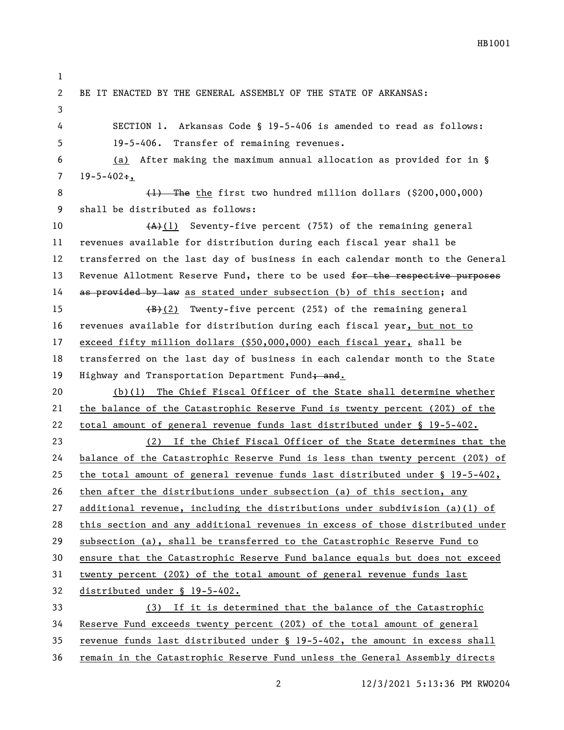BE IT ENACTED BY THE GENERAL ASSEMBLY OF THE STATE OF ARKANSAS: SECTION 1. Arkansas Code § 19-5-406 is amended to read as follows: 19-5-406. Transfer of remaining revenues. (a) After making the maximum annual allocation as provided for in §  $7 \quad 19 - 5 - 402 \div$ ,  $(1)$  The the first two hundred million dollars (\$200,000,000) shall be distributed as follows: 10 (A)(1) Seventy-five percent (75%) of the remaining general revenues available for distribution during each fiscal year shall be transferred on the last day of business in each calendar month to the General 13 Revenue Allotment Reserve Fund, there to be used for the respective purposes 14 as provided by law as stated under subsection (b) of this section; and  $\left(\frac{B}{B}\right)(2)$  Twenty-five percent (25%) of the remaining general revenues available for distribution during each fiscal year, but not to exceed fifty million dollars (\$50,000,000) each fiscal year, shall be transferred on the last day of business in each calendar month to the State 19 Highway and Transportation Department Fund; and. (b)(1) The Chief Fiscal Officer of the State shall determine whether the balance of the Catastrophic Reserve Fund is twenty percent (20%) of the total amount of general revenue funds last distributed under § 19-5-402. (2) If the Chief Fiscal Officer of the State determines that the balance of the Catastrophic Reserve Fund is less than twenty percent (20%) of the total amount of general revenue funds last distributed under § 19-5-402, then after the distributions under subsection (a) of this section, any additional revenue, including the distributions under subdivision (a)(1) of this section and any additional revenues in excess of those distributed under subsection (a), shall be transferred to the Catastrophic Reserve Fund to ensure that the Catastrophic Reserve Fund balance equals but does not exceed twenty percent (20%) of the total amount of general revenue funds last distributed under § 19-5-402. (3) If it is determined that the balance of the Catastrophic Reserve Fund exceeds twenty percent (20%) of the total amount of general revenue funds last distributed under § 19-5-402, the amount in excess shall

remain in the Catastrophic Reserve Fund unless the General Assembly directs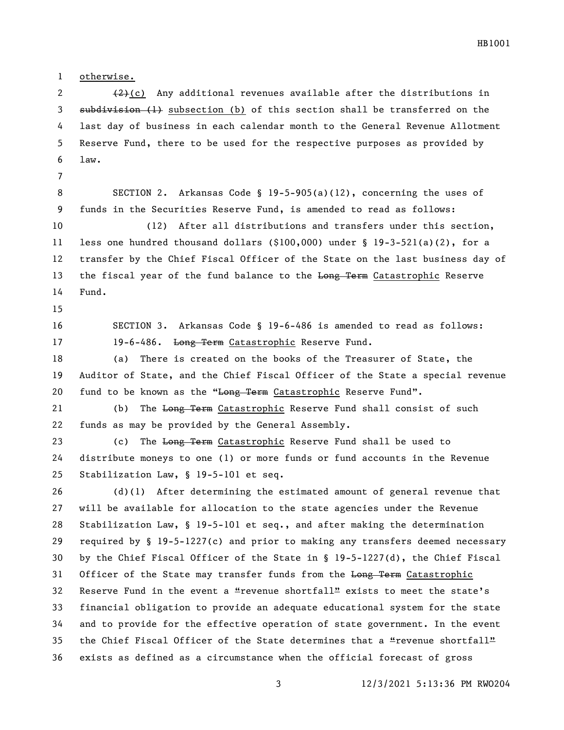otherwise.

2  $(2)$  (c) Any additional revenues available after the distributions in 3 subdivision (1) subsection (b) of this section shall be transferred on the last day of business in each calendar month to the General Revenue Allotment Reserve Fund, there to be used for the respective purposes as provided by law.

 SECTION 2. Arkansas Code § 19-5-905(a)(12), concerning the uses of funds in the Securities Reserve Fund, is amended to read as follows:

 (12) After all distributions and transfers under this section, less one hundred thousand dollars (\$100,000) under § 19-3-521(a)(2), for a transfer by the Chief Fiscal Officer of the State on the last business day of 13 the fiscal year of the fund balance to the Long Term Catastrophic Reserve Fund.

 SECTION 3. Arkansas Code § 19-6-486 is amended to read as follows: 17 19-6-486. Long Term Catastrophic Reserve Fund.

 (a) There is created on the books of the Treasurer of State, the Auditor of State, and the Chief Fiscal Officer of the State a special revenue 20 fund to be known as the "Long Term Catastrophic Reserve Fund".

21 (b) The Long Term Catastrophic Reserve Fund shall consist of such funds as may be provided by the General Assembly.

23 (c) The Long Term Catastrophic Reserve Fund shall be used to distribute moneys to one (1) or more funds or fund accounts in the Revenue Stabilization Law, § 19-5-101 et seq.

 (d)(1) After determining the estimated amount of general revenue that will be available for allocation to the state agencies under the Revenue Stabilization Law, § 19-5-101 et seq., and after making the determination required by § 19-5-1227(c) and prior to making any transfers deemed necessary by the Chief Fiscal Officer of the State in § 19-5-1227(d), the Chief Fiscal 31 Officer of the State may transfer funds from the Long Term Catastrophic 32 Reserve Fund in the event a "revenue shortfall" exists to meet the state's financial obligation to provide an adequate educational system for the state and to provide for the effective operation of state government. In the event 35 the Chief Fiscal Officer of the State determines that a "revenue shortfall" exists as defined as a circumstance when the official forecast of gross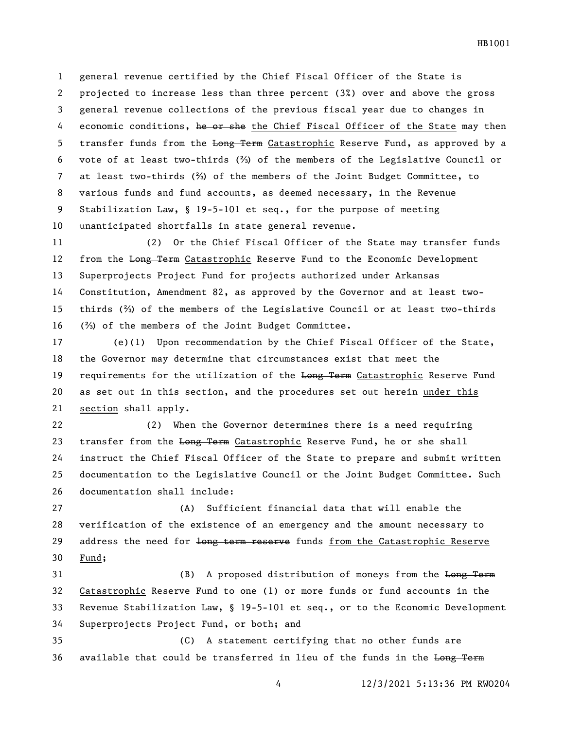general revenue certified by the Chief Fiscal Officer of the State is projected to increase less than three percent (3%) over and above the gross general revenue collections of the previous fiscal year due to changes in 4 economic conditions, he or she the Chief Fiscal Officer of the State may then 5 transfer funds from the Long Term Catastrophic Reserve Fund, as approved by a vote of at least two-thirds (⅔) of the members of the Legislative Council or at least two-thirds (⅔) of the members of the Joint Budget Committee, to various funds and fund accounts, as deemed necessary, in the Revenue Stabilization Law, § 19-5-101 et seq., for the purpose of meeting unanticipated shortfalls in state general revenue.

 (2) Or the Chief Fiscal Officer of the State may transfer funds 12 from the Long Term Catastrophic Reserve Fund to the Economic Development Superprojects Project Fund for projects authorized under Arkansas Constitution, Amendment 82, as approved by the Governor and at least two- thirds (⅔) of the members of the Legislative Council or at least two-thirds (⅔) of the members of the Joint Budget Committee.

 (e)(1) Upon recommendation by the Chief Fiscal Officer of the State, the Governor may determine that circumstances exist that meet the 19 requirements for the utilization of the Long Term Catastrophic Reserve Fund 20 as set out in this section, and the procedures set out herein under this section shall apply.

 (2) When the Governor determines there is a need requiring 23 transfer from the Long Term Catastrophic Reserve Fund, he or she shall instruct the Chief Fiscal Officer of the State to prepare and submit written documentation to the Legislative Council or the Joint Budget Committee. Such documentation shall include:

 (A) Sufficient financial data that will enable the verification of the existence of an emergency and the amount necessary to 29 address the need for long term reserve funds from the Catastrophic Reserve Fund;

31 (B) A proposed distribution of moneys from the Long Term Catastrophic Reserve Fund to one (1) or more funds or fund accounts in the Revenue Stabilization Law, § 19-5-101 et seq., or to the Economic Development Superprojects Project Fund, or both; and

 (C) A statement certifying that no other funds are 36 available that could be transferred in lieu of the funds in the Long Term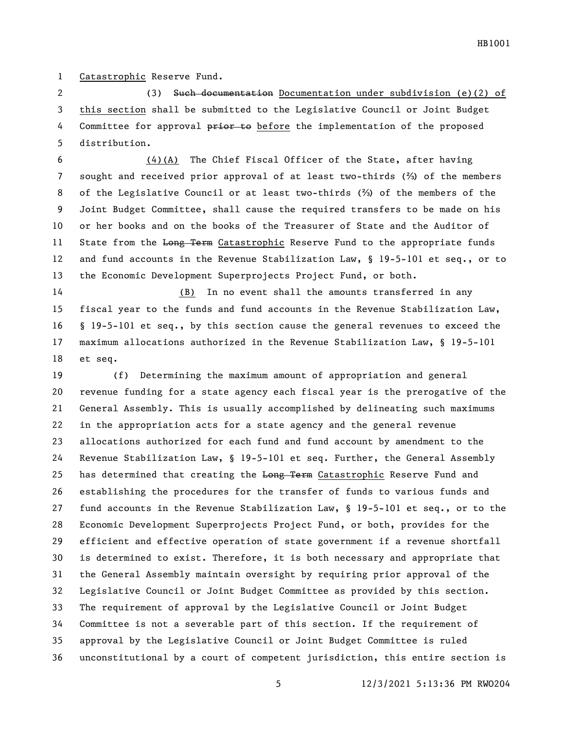Catastrophic Reserve Fund.

 (3) Such documentation Documentation under subdivision (e)(2) of this section shall be submitted to the Legislative Council or Joint Budget 4 Committee for approval prior to before the implementation of the proposed distribution.

 (4)(A) The Chief Fiscal Officer of the State, after having sought and received prior approval of at least two-thirds (⅔) of the members of the Legislative Council or at least two-thirds (⅔) of the members of the Joint Budget Committee, shall cause the required transfers to be made on his or her books and on the books of the Treasurer of State and the Auditor of 11 State from the Long Term Catastrophic Reserve Fund to the appropriate funds and fund accounts in the Revenue Stabilization Law, § 19-5-101 et seq., or to the Economic Development Superprojects Project Fund, or both.

 (B) In no event shall the amounts transferred in any fiscal year to the funds and fund accounts in the Revenue Stabilization Law, § 19-5-101 et seq., by this section cause the general revenues to exceed the maximum allocations authorized in the Revenue Stabilization Law, § 19-5-101 et seq.

 (f) Determining the maximum amount of appropriation and general revenue funding for a state agency each fiscal year is the prerogative of the General Assembly. This is usually accomplished by delineating such maximums in the appropriation acts for a state agency and the general revenue allocations authorized for each fund and fund account by amendment to the Revenue Stabilization Law, § 19-5-101 et seq. Further, the General Assembly 25 has determined that creating the Long Term Catastrophic Reserve Fund and establishing the procedures for the transfer of funds to various funds and fund accounts in the Revenue Stabilization Law, § 19-5-101 et seq., or to the Economic Development Superprojects Project Fund, or both, provides for the efficient and effective operation of state government if a revenue shortfall is determined to exist. Therefore, it is both necessary and appropriate that the General Assembly maintain oversight by requiring prior approval of the Legislative Council or Joint Budget Committee as provided by this section. The requirement of approval by the Legislative Council or Joint Budget Committee is not a severable part of this section. If the requirement of approval by the Legislative Council or Joint Budget Committee is ruled unconstitutional by a court of competent jurisdiction, this entire section is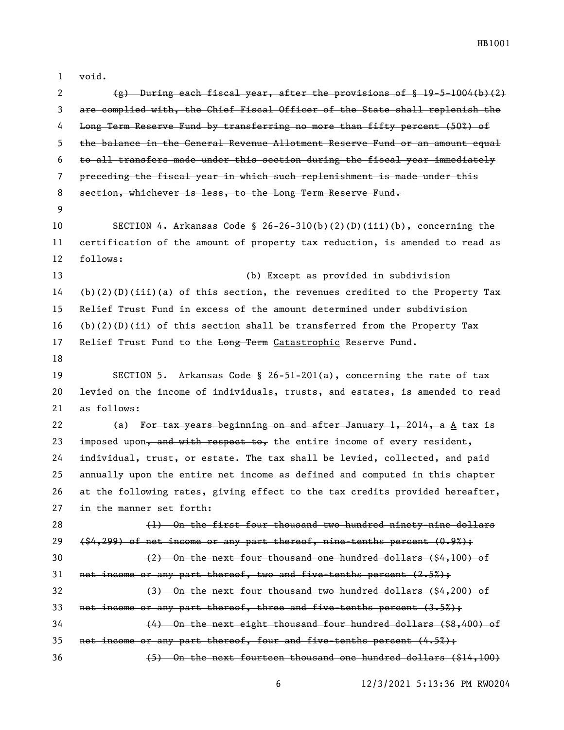| $\mathbf{1}$ | void.                                                                              |
|--------------|------------------------------------------------------------------------------------|
| 2            | $(g)$ During each fiscal year, after the provisions of $\{19-5-1004(b)(2)\}$       |
| 3            | are complied with, the Chief Fiscal Officer of the State shall replenish the       |
| 4            | Long Term Reserve Fund by transferring no more than fifty percent (50%) of         |
| 5            | the balance in the General Revenue Allotment Reserve Fund or an amount equal       |
| 6            | to all transfers made under this section during the fiscal year immediately        |
| 7            | preceding the fiscal year in which such replenishment is made under this           |
| 8            | section, whichever is less, to the Long Term Reserve Fund.                         |
| 9            |                                                                                    |
| 10           | SECTION 4. Arkansas Code § 26-26-310(b)(2)(D)(iii)(b), concerning the              |
| 11           | certification of the amount of property tax reduction, is amended to read as       |
| 12           | follows:                                                                           |
| 13           | (b) Except as provided in subdivision                                              |
| 14           | $(b)(2)(D)(iii)(a)$ of this section, the revenues credited to the Property Tax     |
| 15           | Relief Trust Fund in excess of the amount determined under subdivision             |
| 16           | $(b)(2)(D)(ii)$ of this section shall be transferred from the Property Tax         |
| 17           | Relief Trust Fund to the Long Term Catastrophic Reserve Fund.                      |
| 18           |                                                                                    |
| 19           | SECTION 5. Arkansas Code § 26-51-201(a), concerning the rate of tax                |
| 20           | levied on the income of individuals, trusts, and estates, is amended to read       |
| 21           | as follows:                                                                        |
| 22           | (a) For tax years beginning on and after January 1, 2014, a $\underline{A}$ tax is |
| 23           | imposed upon, and with respect to, the entire income of every resident,            |
| 24           | individual, trust, or estate. The tax shall be levied, collected, and paid         |
| 25           | annually upon the entire net income as defined and computed in this chapter        |
| 26           | at the following rates, giving effect to the tax credits provided hereafter,       |
| 27           | in the manner set forth:                                                           |
| 28           | (1) On the first four thousand two hundred ninety-nine dollars                     |
| 29           | $(1, 299)$ of net income or any part thereof, nine tenths percent $(0.9\%)$ ;      |
| 30           | (2) On the next four thousand one hundred dollars (\$4,100) of                     |
| 31           | net income or any part thereof, two and five-tenths percent (2.5%);                |
| 32           | (3) On the next four thousand two hundred dollars (\$4,200) of                     |
| 33           | net income or any part thereof, three and five-tenths percent (3.5%);              |
| 34           | (4) On the next eight thousand four hundred dollars (\$8,400) of                   |
| 35           | net income or any part thereof, four and five-tenths percent (4.5%);               |
| 36           | (5) On the next fourteen thousand one hundred dollars (\$14,100)                   |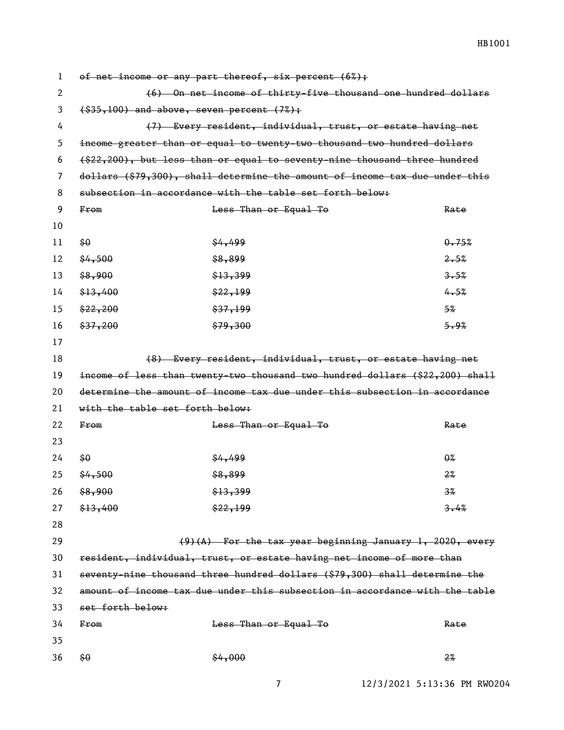1 of net income or any part thereof, six percent  $(6%)$ ; 2 (6) On net income of thirty-five thousand one hundred dollars  $3 \left( $35,100 \right)$  and above, seven percent  $(7\%)$ ; 4 (7) Every resident, individual, trust, or estate having net 5 income greater than or equal to twenty-two thousand two hundred dollars 6 (\$22,200), but less than or equal to seventy-nine thousand three hundred 7 dollars (\$79,300), shall determine the amount of income tax due under this 8 subsection in accordance with the table set forth below: 9 From Sess Than or Equal To Sextern Rate 10 11  $\frac{60}{64}$   $\frac{64}{499}$   $\frac{64}{35\%}$  $12 \quad \frac{64}{500}$   $\frac{12}{200}$   $\frac{12}{200}$   $\frac{2.5\%}{200}$  $13 \quad $8,900$   $$13,399$   $$3.5\%$  $14 \quad \frac{13}{13} \quad \frac{140}{130} \quad \frac{13}{130}$   $\frac{13}{130} \quad \frac{130}{130} \quad \frac{130}{130} \quad \frac{130}{130} \quad \frac{130}{130} \quad \frac{130}{130} \quad \frac{130}{130} \quad \frac{130}{130} \quad \frac{130}{130} \quad \frac{130}{130} \quad \frac{130}{130} \quad \frac{130}{130} \quad \frac{130}{130} \quad \frac{130}{130}$  $15 \frac{$22,200}{}$  5%  $16 \quad \frac{1}{2}$   $\frac{1}{2}$   $\frac{1}{2}$   $\frac{1}{2}$   $\frac{1}{2}$   $\frac{1}{2}$   $\frac{1}{2}$   $\frac{1}{2}$   $\frac{1}{2}$   $\frac{1}{2}$   $\frac{1}{2}$   $\frac{1}{2}$   $\frac{1}{2}$   $\frac{1}{2}$   $\frac{1}{2}$   $\frac{1}{2}$   $\frac{1}{2}$   $\frac{1}{2}$   $\frac{1}{2}$   $\frac{1}{2}$   $\frac{1}{2}$   $\frac{1}{2$ 17 18 (8) Every resident, individual, trust, or estate having net 19 income of less than twenty-two thousand two hundred dollars (\$22,200) shall 20 determine the amount of income tax due under this subsection in accordance 21 with the table set forth below: 22 From Service Contract Than or Equal To Contract Rate 23  $24$   $\frac{60}{90}$   $\frac{84}{100}$   $\frac{64}{100}$   $\frac{64}{100}$   $\frac{64}{100}$   $\frac{64}{100}$   $\frac{64}{100}$   $\frac{64}{100}$   $\frac{64}{100}$   $\frac{64}{100}$   $\frac{64}{100}$   $\frac{64}{100}$   $\frac{64}{100}$   $\frac{64}{100}$   $\frac{64}{100}$   $\frac{64}{100}$   $\frac{64}{10$ 25  $\frac{22}{3}$   $\frac{22}{3}$ 26  $\frac{13}{20}$   $\frac{13}{20}$   $\frac{13}{20}$   $\frac{13}{20}$   $\frac{13}{20}$   $\frac{13}{20}$   $\frac{13}{20}$   $\frac{13}{20}$   $\frac{13}{20}$   $\frac{13}{20}$   $\frac{13}{20}$   $\frac{13}{20}$   $\frac{13}{20}$   $\frac{13}{20}$   $\frac{13}{20}$   $\frac{13}{20}$   $\frac{13}{20}$   $\frac{13}{20}$   $\$ 27  $\frac{13,400}{3.4\%}$   $\frac{199}{27}$   $\frac{22,199}{27}$ 28 29 (9)(A) For the tax year beginning January 1, 2020, every 30 resident, individual, trust, or estate having net income of more than 31 seventy-nine thousand three hundred dollars (\$79,300) shall determine the 32 amount of income tax due under this subsection in accordance with the table 33 set forth below: 34 From Service State Service Than or Equal To Controller and Rate 35 36  $\frac{22}{30}$   $\frac{22}{30}$   $\frac{22}{30}$   $\frac{22}{30}$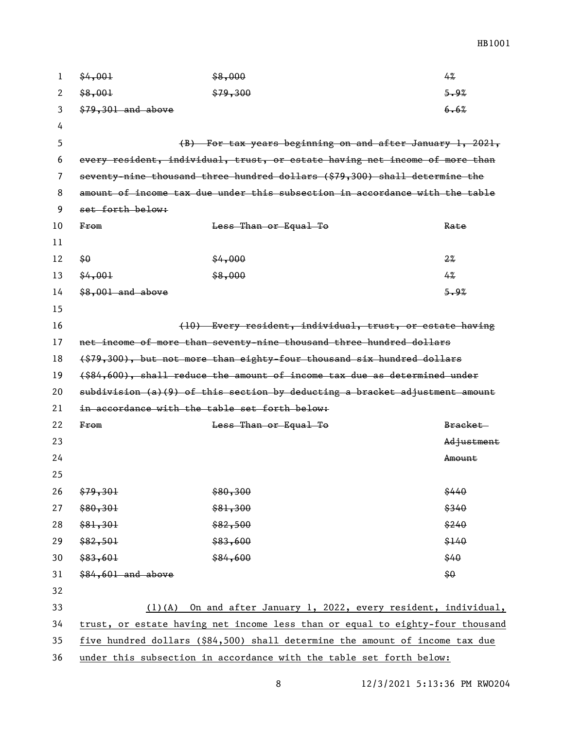| 1  | \$4,001                                                                     | \$8,000                                                                       | 4%         |
|----|-----------------------------------------------------------------------------|-------------------------------------------------------------------------------|------------|
| 2  | \$8,001                                                                     | \$79,300                                                                      | 5.9%       |
| 3  | $$79,301$ and above                                                         |                                                                               | 6.6%       |
| 4  |                                                                             |                                                                               |            |
| 5  |                                                                             | $(B)$ For tax years beginning on and after January 1, 2021,                   |            |
| 6  |                                                                             | every resident, individual, trust, or estate having net income of more than   |            |
| 7  |                                                                             | seventy-nine thousand three hundred dollars (\$79,300) shall determine the    |            |
| 8  |                                                                             | amount of income tax due under this subsection in accordance with the table   |            |
| 9  | set forth below:                                                            |                                                                               |            |
| 10 | F <sub>rem</sub>                                                            | Less Than or Equal To                                                         | Rate       |
| 11 |                                                                             |                                                                               |            |
| 12 | \$0                                                                         | \$4,000                                                                       | $2\%$      |
| 13 | \$4,001                                                                     | \$8,000                                                                       | 4%         |
| 14 | $$8,001$ and above                                                          |                                                                               | 5.9%       |
| 15 |                                                                             |                                                                               |            |
| 16 |                                                                             | (10) Every resident, individual, trust, or estate having                      |            |
| 17 |                                                                             | net income of more than seventy-nine thousand three hundred dollars           |            |
| 18 |                                                                             | (\$79,300), but not more than eighty-four thousand six hundred dollars        |            |
| 19 |                                                                             | (\$84,600), shall reduce the amount of income tax due as determined under     |            |
| 20 | subdivision (a)(9) of this section by deducting a bracket adjustment amount |                                                                               |            |
| 21 |                                                                             | in accordance with the table set forth below:                                 |            |
| 22 | F <sub>rem</sub>                                                            | Less Than or Equal To                                                         | Bracket-   |
| 23 |                                                                             |                                                                               | Adjustment |
| 24 |                                                                             |                                                                               | Amount     |
| 25 |                                                                             |                                                                               |            |
| 26 | \$79,301                                                                    | \$80,300                                                                      | \$440      |
| 27 | \$80,301                                                                    | \$81,300                                                                      | \$340      |
| 28 | \$81,301                                                                    | \$82,500                                                                      | \$240      |
| 29 | \$82,501                                                                    | \$83,600                                                                      | \$140      |
| 30 | \$83,601                                                                    | \$84,600                                                                      | \$40       |
| 31 | \$84,601 and above                                                          |                                                                               | \$0\$      |
| 32 |                                                                             |                                                                               |            |
| 33 | $(1)$ (A)                                                                   | On and after January 1, 2022, every resident, individual,                     |            |
| 34 |                                                                             | trust, or estate having net income less than or equal to eighty-four thousand |            |
| 35 |                                                                             | five hundred dollars (\$84,500) shall determine the amount of income tax due  |            |
| 36 | under this subsection in accordance with the table set forth below:         |                                                                               |            |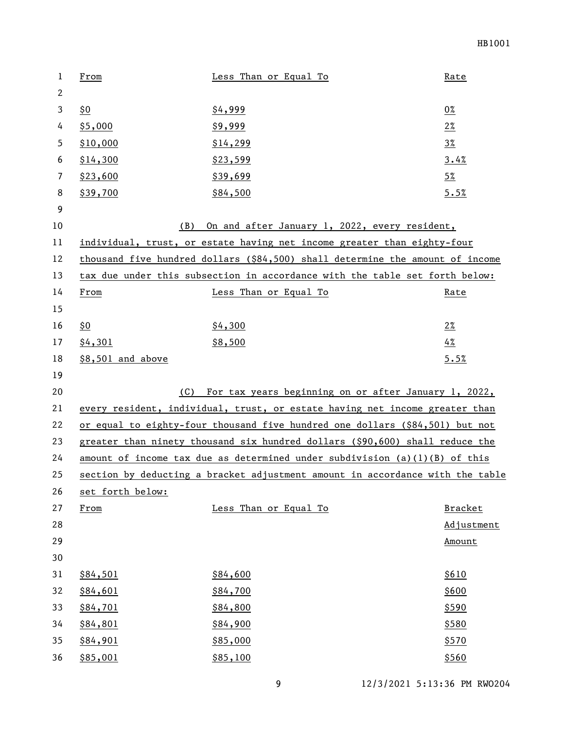| 1            | From              | Less Than or Equal To                                                         | Rate           |
|--------------|-------------------|-------------------------------------------------------------------------------|----------------|
| $\mathbf{2}$ |                   |                                                                               |                |
| 3            | <u>\$0</u>        | \$4,999                                                                       | 0%             |
| 4            | \$5,000           | \$9,999                                                                       | $2\%$          |
| 5            | \$10,000          | \$14,299                                                                      | $3\%$          |
| 6            | \$14,300          | \$23,599                                                                      | 3.4%           |
| 7            | \$23,600          | \$39,699                                                                      | $5\%$          |
| 8            | \$39,700          | \$84,500                                                                      | 5.5%           |
| 9            |                   |                                                                               |                |
| 10           | (B)               | On and after January 1, 2022, every resident,                                 |                |
| 11           |                   | individual, trust, or estate having net income greater than eighty-four       |                |
| 12           |                   | thousand five hundred dollars (\$84,500) shall determine the amount of income |                |
| 13           |                   | tax due under this subsection in accordance with the table set forth below:   |                |
| 14           | From              | Less Than or Equal To                                                         | Rate           |
| 15           |                   |                                                                               |                |
| 16           | <u>\$0</u>        | \$4,300                                                                       | $2\%$          |
| 17           | \$4,301           | \$8,500                                                                       | 4%             |
| 18           | \$8,501 and above |                                                                               | 5.5%           |
| 19           |                   |                                                                               |                |
| 20           | (C)               | For tax years beginning on or after January 1, 2022,                          |                |
| 21           |                   | every resident, individual, trust, or estate having net income greater than   |                |
| 22           |                   | or equal to eighty-four thousand five hundred one dollars (\$84,501) but not  |                |
| 23           |                   | greater than ninety thousand six hundred dollars (\$90,600) shall reduce the  |                |
| 24           |                   | amount of income tax due as determined under subdivision (a)(1)(B) of this    |                |
| 25           |                   | section by deducting a bracket adjustment amount in accordance with the table |                |
| 26           | set forth below:  |                                                                               |                |
| 27           | From              | Less Than or Equal To                                                         | <b>Bracket</b> |
| 28           |                   |                                                                               | Adjustment     |
| 29           |                   |                                                                               | Amount         |
| 30           |                   |                                                                               |                |
| 31           | \$84,501          | \$84,600                                                                      | \$610          |
| 32           | \$84,601          | \$84,700                                                                      | \$600          |
| 33           | \$84,701          | \$84,800                                                                      | \$590          |
| 34           | \$84,801          | \$84,900                                                                      | \$580          |
| 35           | \$84,901          | \$85,000                                                                      | \$570          |
| 36           | \$85,001          | \$85,100                                                                      | \$560          |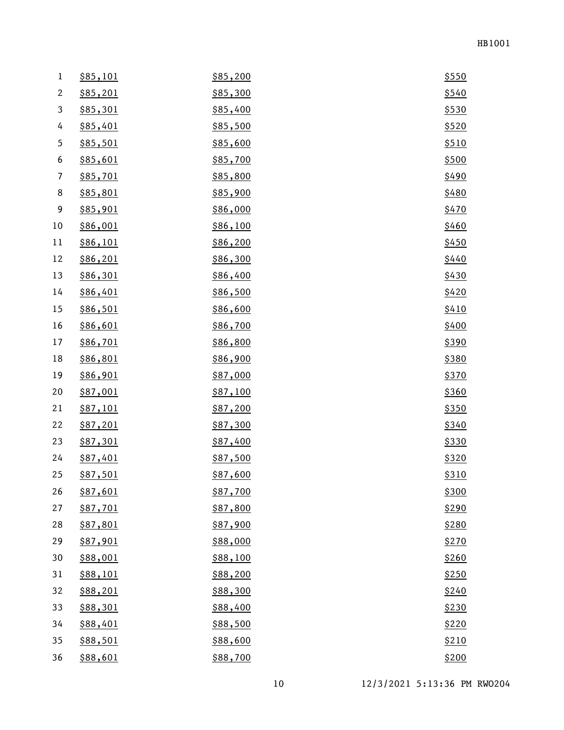| $\mathbf 1$              | \$85,101        | \$85,200 | \$550 |
|--------------------------|-----------------|----------|-------|
| $\mathbf{2}$             | \$85,201        | \$85,300 | \$540 |
| $\mathbf{3}$             | \$85,301        | \$85,400 | \$530 |
| 4                        | \$85,401        | \$85,500 | \$520 |
| 5                        | \$85,501        | \$85,600 | \$510 |
| 6                        | \$85,601        | \$85,700 | \$500 |
| $\overline{\phantom{a}}$ | \$85,701        | \$85,800 | \$490 |
| 8                        | \$85,801        | \$85,900 | \$480 |
| 9                        | \$85,901        | \$86,000 | \$470 |
| 10                       | \$86,001        | \$86,100 | \$460 |
| 11                       | \$86,101        | \$86,200 | \$450 |
| 12                       | \$86,201        | \$86,300 | \$440 |
| 13                       | \$86,301        | \$86,400 | \$430 |
| 14                       | \$86,401        | \$86,500 | \$420 |
| 15                       | \$86,501        | \$86,600 | \$410 |
| 16                       | \$86,601        | \$86,700 | \$400 |
| 17                       | \$86,701        | \$86,800 | \$390 |
| 18                       | <u>\$86,801</u> | \$86,900 | \$380 |
| 19                       | <u>\$86,901</u> | \$87,000 | \$370 |
| 20                       | \$87,001        | \$87,100 | \$360 |
| 21                       | <u>\$87,101</u> | \$87,200 | \$350 |
| 22                       | \$87,201        | \$87,300 | \$340 |
| 23                       | \$87,301        | \$87,400 | \$330 |
| 24                       | \$87,401        | \$87,500 | \$320 |
| 25                       | <u>\$87,501</u> | \$87,600 | \$310 |
| 26                       | \$87,601        | \$87,700 | \$300 |
| 27                       | \$87,701        | \$87,800 | \$290 |
| 28                       | \$87,801        | \$87,900 | \$280 |
| 29                       | \$87,901        | \$88,000 | \$270 |
| 30                       | \$88,001        | \$88,100 | \$260 |
| 31                       | <u>\$88,101</u> | \$88,200 | \$250 |
| 32                       | \$88,201        | \$88,300 | \$240 |
| 33                       | \$88,301        | \$88,400 | \$230 |
| 34                       | \$88,401        | \$88,500 | \$220 |
| 35                       | \$88,501        | \$88,600 | \$210 |
| 36                       | \$88,601        | \$88,700 | \$200 |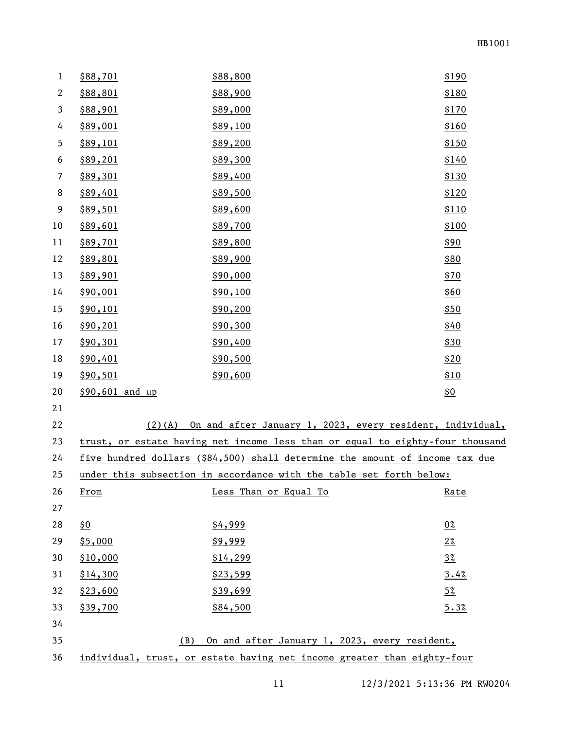| $\mathbf 1$    | \$88,701        | \$88,800                                                                      | \$190      |
|----------------|-----------------|-------------------------------------------------------------------------------|------------|
| $\overline{c}$ | \$88,801        | \$88,900                                                                      | \$180      |
| 3              | \$88,901        | \$89,000                                                                      | \$170      |
| 4              | \$89,001        | \$89,100                                                                      | \$160      |
| 5              | \$89,101        | \$89,200                                                                      | \$150      |
| 6              | \$89,201        | \$89,300                                                                      | \$140      |
| 7              | \$89,301        | \$89,400                                                                      | \$130      |
| 8              | \$89,401        | \$89,500                                                                      | \$120      |
| 9              | \$89,501        | \$89,600                                                                      | \$110      |
| 10             | \$89,601        | \$89,700                                                                      | \$100      |
| 11             | \$89,701        | \$89,800                                                                      | \$90       |
| 12             | \$89,801        | \$89,900                                                                      | \$80       |
| 13             | \$89,901        | \$90,000                                                                      | \$70       |
| 14             | \$90,001        | \$90,100                                                                      | \$60       |
| 15             | \$90,101        | \$90,200                                                                      | \$50       |
| 16             | \$90,201        | \$90,300                                                                      | \$40       |
| 17             | \$90,301        | \$90,400                                                                      | \$30       |
| 18             | \$90,401        | \$90,500                                                                      | \$20       |
| 19             | \$90,501        | \$90,600                                                                      | \$10       |
| 20             | \$90,601 and up |                                                                               | <u>\$0</u> |
| 21             |                 |                                                                               |            |
| 22             |                 | (2)(A) On and after January 1, 2023, every resident, individual,              |            |
| 23             |                 | trust, or estate having net income less than or equal to eighty-four thousand |            |
| 24             |                 | five hundred dollars (\$84,500) shall determine the amount of income tax due  |            |
| 25             |                 | under this subsection in accordance with the table set forth below:           |            |
| 26             | From            | Less Than or Equal To                                                         | Rate       |
| 27             |                 |                                                                               |            |
| 28             | <u>\$0</u>      | \$4,999                                                                       | $0\%$      |
| 29             | \$5,000         | \$9,999                                                                       | $2\%$      |
| 30             | \$10,000        | \$14,299                                                                      | $3\%$      |
| 31             | \$14,300        | \$23,599                                                                      | 3.4%       |
| 32             | \$23,600        | \$39,699                                                                      | $5\%$      |
| 33             | \$39,700        | \$84,500                                                                      | 5.3%       |
| 34             |                 |                                                                               |            |
| 35             | (B)             | On and after January 1, 2023, every resident,                                 |            |
| 36             |                 | individual, trust, or estate having net income greater than eighty-four       |            |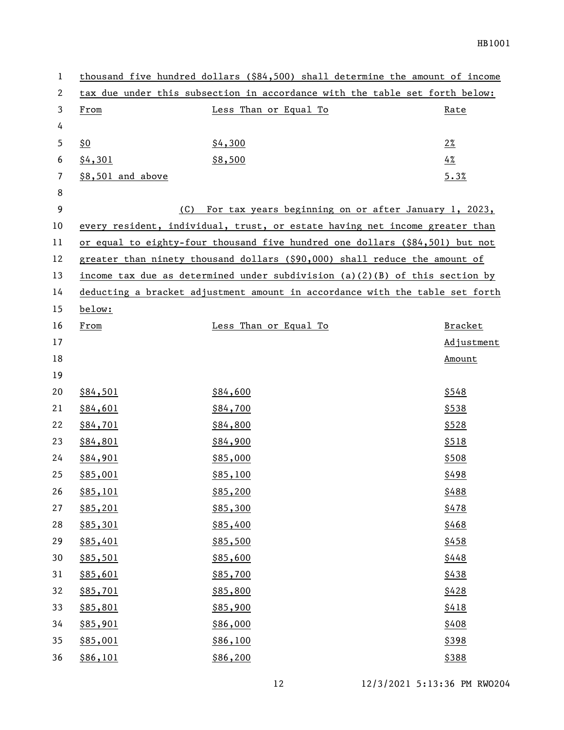| $\mathbf 1$ |                   | thousand five hundred dollars (\$84,500) shall determine the amount of income |                |
|-------------|-------------------|-------------------------------------------------------------------------------|----------------|
| 2           |                   | tax due under this subsection in accordance with the table set forth below:   |                |
| 3           | From              | Less Than or Equal To                                                         | Rate           |
| 4           |                   |                                                                               |                |
| 5           | \$0               | \$4,300                                                                       | $2\%$          |
| 6           | \$4,301           | \$8,500                                                                       | 4%             |
| 7           | \$8,501 and above |                                                                               | 5.3%           |
| 8           |                   |                                                                               |                |
| 9           |                   | For tax years beginning on or after January 1, 2023,<br>(C)                   |                |
| 10          |                   | every resident, individual, trust, or estate having net income greater than   |                |
| 11          |                   | or equal to eighty-four thousand five hundred one dollars (\$84,501) but not  |                |
| 12          |                   | greater than ninety thousand dollars (\$90,000) shall reduce the amount of    |                |
| 13          |                   | income tax due as determined under subdivision $(a)(2)(B)$ of this section by |                |
| 14          |                   | deducting a bracket adjustment amount in accordance with the table set forth  |                |
| 15          | below:            |                                                                               |                |
| 16          | From              | Less Than or Equal To                                                         | <b>Bracket</b> |
| 17          |                   |                                                                               | Adjustment     |
| 18          |                   |                                                                               | Amount         |
| 19          |                   |                                                                               |                |
| 20          | \$84,501          | \$84,600                                                                      | \$548          |
| 21          | \$84,601          | \$84,700                                                                      | \$538          |
| 22          | \$84,701          | \$84,800                                                                      | \$528          |
| 23          | \$84,801          | \$84,900                                                                      | \$518          |
| 24          | \$84,901          | \$85,000                                                                      | \$508          |
| 25          | \$85,001          | \$85,100                                                                      | \$498          |
| 26          | \$85,101          | \$85,200                                                                      | \$488          |
| 27          | \$85,201          | \$85,300                                                                      | \$478          |
| 28          | \$85,301          | \$85,400                                                                      | \$468          |
| 29          | \$85,401          | \$85,500                                                                      | \$458          |
| 30          | \$85,501          | \$85,600                                                                      | \$448          |
| 31          | \$85,601          | \$85,700                                                                      | \$438          |
| 32          | \$85,701          | \$85,800                                                                      | \$428          |
| 33          | \$85,801          | \$85,900                                                                      | \$418          |
| 34          | \$85,901          | \$86,000                                                                      | \$408          |
| 35          | \$85,001          | \$86,100                                                                      | \$398          |
| 36          | \$86,101          | \$86,200                                                                      | \$388          |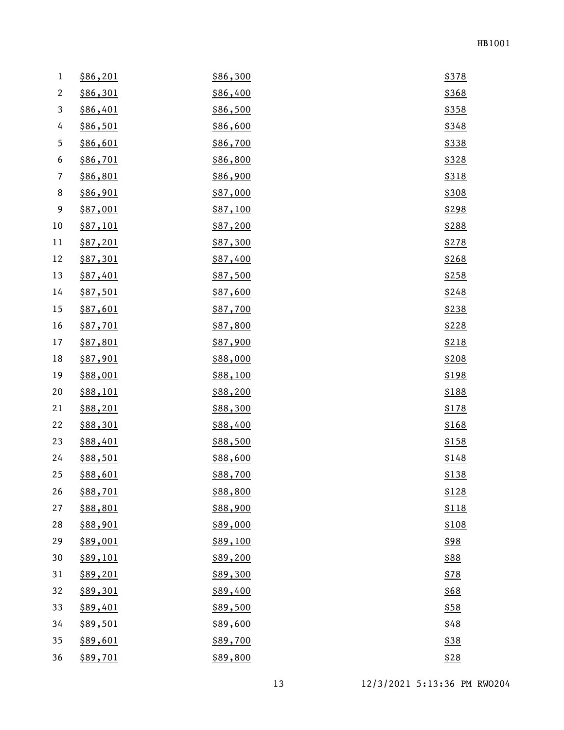| $\bf{l}$                 | \$86,201        | \$86,300 | \$378       |
|--------------------------|-----------------|----------|-------------|
| $\mathbf{2}$             | \$86,301        | \$86,400 | \$368       |
| 3                        | \$86,401        | \$86,500 | \$358       |
| 4                        | \$86,501        | \$86,600 | \$348       |
| $\mathfrak s$            | \$86,601        | \$86,700 | \$338       |
| 6                        | \$86,701        | \$86,800 | \$328       |
| $\overline{\phantom{a}}$ | \$86,801        | \$86,900 | \$318       |
| 8                        | \$86,901        | \$87,000 | \$308       |
| 9                        | \$87,001        | \$87,100 | \$298       |
| 10                       | <u>\$87,101</u> | \$87,200 | \$288       |
| 11                       | <u>\$87,201</u> | \$87,300 | \$278       |
| 12                       | \$87,301        | \$87,400 | \$268       |
| 13                       | \$87,401        | \$87,500 | \$258       |
| 14                       | \$87,501        | \$87,600 | \$248       |
| 15                       | \$87,601        | \$87,700 | \$238       |
| 16                       | \$87,701        | \$87,800 | \$228       |
| 17                       | \$87,801        | \$87,900 | \$218       |
| 18                       | \$87,901        | \$88,000 | \$208       |
| 19                       | \$88,001        | \$88,100 | \$198       |
| 20                       | \$88,101        | \$88,200 | \$188       |
| 21                       | <u>\$88,201</u> | \$88,300 | \$178       |
| 22                       | \$88,301        | \$88,400 | \$168       |
| 23                       | \$88,401        | \$88,500 | \$158       |
| 24                       | \$88,501        | \$88,600 | \$148       |
| 25                       | \$88,601        | \$88,700 | \$138       |
| 26                       | \$88,701        | \$88,800 | \$128       |
| 27                       | \$88,801        | \$88,900 | \$118       |
| 28                       | \$88,901        | \$89,000 | \$108       |
| 29                       | \$89,001        | \$89,100 | <u>\$98</u> |
| 30                       | \$89,101        | \$89,200 | \$88        |
| 31                       | \$89,201        | \$89,300 | \$78        |
| 32                       | \$89,301        | \$89,400 | \$68        |
| 33                       | \$89,401        | \$89,500 | \$58        |
| 34                       | \$89,501        | \$89,600 | \$48        |
| 35                       | \$89,601        | \$89,700 | \$38        |
| 36                       | \$89,701        | \$89,800 | \$28        |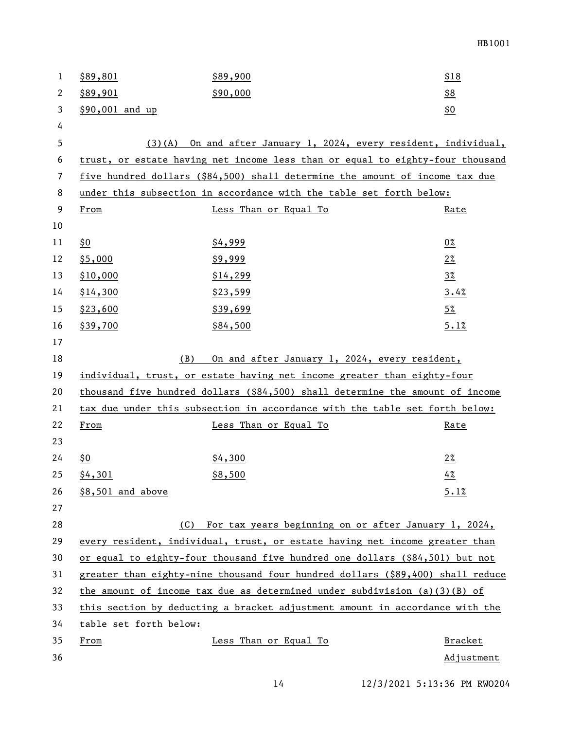| $\mathbf{1}$ | \$89,801               | \$89,900                                                                       | \$18           |
|--------------|------------------------|--------------------------------------------------------------------------------|----------------|
| 2            | \$89,901               | \$90,000                                                                       | \$8            |
| 3            | \$90,001 and up        |                                                                                | \$0            |
| 4            |                        |                                                                                |                |
| 5            | (3)(A)                 | On and after January 1, 2024, every resident, individual,                      |                |
| 6            |                        | trust, or estate having net income less than or equal to eighty-four thousand  |                |
| 7            |                        | five hundred dollars (\$84,500) shall determine the amount of income tax due   |                |
| 8            |                        | under this subsection in accordance with the table set forth below:            |                |
| 9            | From                   | Less Than or Equal To                                                          | Rate           |
| 10           |                        |                                                                                |                |
| 11           | <u>\$0</u>             | \$4,999                                                                        | $0\%$          |
| 12           | \$5,000                | \$9,999                                                                        | $2\%$          |
| 13           | \$10,000               | \$14,299                                                                       | $3\%$          |
| 14           | \$14,300               | \$23,599                                                                       | 3.4%           |
| 15           | \$23,600               | \$39,699                                                                       | $5\%$          |
| 16           | \$39,700               | \$84,500                                                                       | 5.1%           |
| 17           |                        |                                                                                |                |
| 18           | (B)                    | On and after January 1, 2024, every resident,                                  |                |
| 19           |                        | individual, trust, or estate having net income greater than eighty-four        |                |
| 20           |                        | thousand five hundred dollars (\$84,500) shall determine the amount of income  |                |
| 21           |                        | tax due under this subsection in accordance with the table set forth below:    |                |
| 22           | From                   | Less Than or Equal To                                                          | <u>Rate</u>    |
| 23           |                        |                                                                                |                |
| 24           | \$0                    | \$4,300                                                                        | $2\%$          |
| 25           | \$4,301                | \$8,500                                                                        | 4%             |
| 26           | \$8,501 and above      |                                                                                | 5.1%           |
| 27           |                        |                                                                                |                |
| 28           | (C)                    | For tax years beginning on or after January 1, 2024,                           |                |
| 29           |                        | every resident, individual, trust, or estate having net income greater than    |                |
| 30           |                        | or equal to eighty-four thousand five hundred one dollars (\$84,501) but not   |                |
| 31           |                        | greater than eighty-nine thousand four hundred dollars (\$89,400) shall reduce |                |
| 32           |                        | the amount of income tax due as determined under subdivision (a)(3)(B) of      |                |
| 33           |                        | this section by deducting a bracket adjustment amount in accordance with the   |                |
| 34           | table set forth below: |                                                                                |                |
| 35           | From                   | Less Than or Equal To                                                          | <b>Bracket</b> |
| 36           |                        |                                                                                | Adjustment     |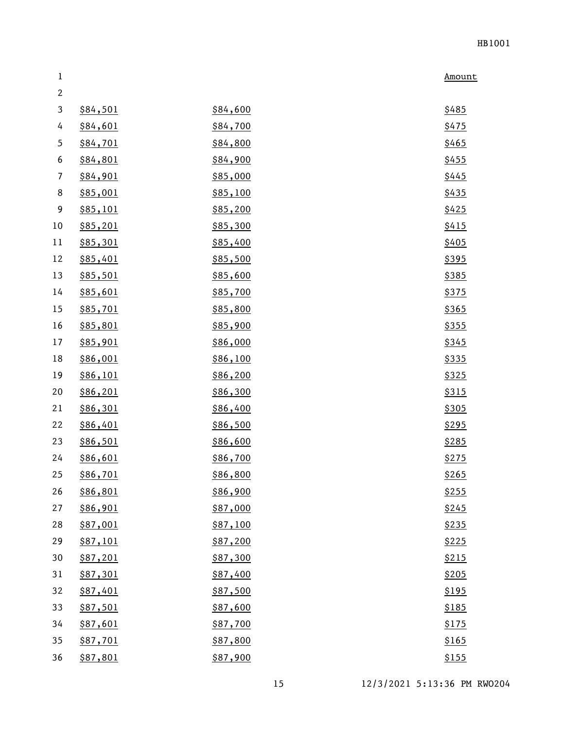| $\mathbf 1$    |          |          | Amount |
|----------------|----------|----------|--------|
| $\sqrt{2}$     |          |          |        |
| 3              | \$84,501 | \$84,600 | \$485  |
| 4              | \$84,601 | \$84,700 | \$475  |
| 5              | \$84,701 | \$84,800 | \$465  |
| 6              | \$84,801 | \$84,900 | \$455  |
| $\overline{7}$ | \$84,901 | \$85,000 | \$445  |
| $\,8\,$        | \$85,001 | \$85,100 | \$435  |
| 9              | \$85,101 | \$85,200 | \$425  |
| $10\,$         | \$85,201 | \$85,300 | \$415  |
| 11             | \$85,301 | \$85,400 | \$405  |
| 12             | \$85,401 | \$85,500 | \$395  |
| 13             | \$85,501 | \$85,600 | \$385  |
| 14             | \$85,601 | \$85,700 | \$375  |
| 15             | \$85,701 | \$85,800 | \$365  |
| 16             | \$85,801 | \$85,900 | \$355  |
| 17             | \$85,901 | \$86,000 | \$345  |
| 18             | \$86,001 | \$86,100 | \$335  |
| 19             | \$86,101 | \$86,200 | \$325  |
| 20             | \$86,201 | \$86,300 | \$315  |
| 21             | \$86,301 | \$86,400 | \$305  |
| 22             | \$86,401 | \$86,500 | \$295  |
| 23             | \$86,501 | \$86,600 | \$285  |
| 24             | \$86,601 | \$86,700 | \$275  |
| 25             | \$86,701 | \$86,800 | \$265  |
| 26             | \$86,801 | \$86,900 | \$255  |
| 27             | \$86,901 | \$87,000 | \$245  |
| 28             | \$87,001 | \$87,100 | \$235  |
| 29             | \$87,101 | \$87,200 | \$225  |
| 30             | \$87,201 | \$87,300 | \$215  |
| 31             | \$87,301 | \$87,400 | \$205  |
| 32             | \$87,401 | \$87,500 | \$195  |
| 33             | \$87,501 | \$87,600 | \$185  |
| 34             | \$87,601 | \$87,700 | \$175  |
| 35             | \$87,701 | \$87,800 | \$165  |
| 36             | \$87,801 | \$87,900 | \$155  |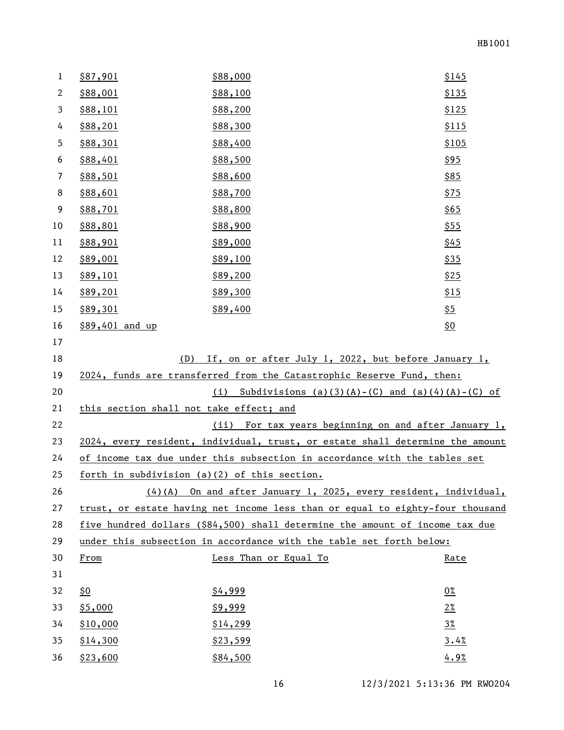| $\mathbf{1}$ | \$87,901                                     | \$88,000                                                                      | \$145       |
|--------------|----------------------------------------------|-------------------------------------------------------------------------------|-------------|
| $\mathbf{2}$ | \$88,001                                     | \$88,100                                                                      | \$135       |
| 3            | \$88,101                                     | \$88,200                                                                      | \$125       |
| 4            | \$88,201                                     | \$88,300                                                                      | \$115       |
| 5            | \$88,301                                     | \$88,400                                                                      | \$105       |
| 6            | \$88,401                                     | \$88,500                                                                      | \$95        |
| 7            | \$88,501                                     | \$88,600                                                                      | \$85        |
| 8            | \$88,601                                     | \$88,700                                                                      | \$75        |
| 9            | \$88,701                                     | \$88,800                                                                      | \$65        |
| 10           | \$88,801                                     | \$88,900                                                                      | \$55        |
| 11           | \$88,901                                     | \$89,000                                                                      | \$45        |
| 12           | \$89,001                                     | \$89,100                                                                      | <u>\$35</u> |
| 13           | <u>\$89,101</u>                              | \$89,200                                                                      | \$25        |
| 14           | \$89,201                                     | \$89,300                                                                      | \$15        |
| 15           | \$89,301                                     | \$89,400                                                                      | <u>\$5</u>  |
| 16           | \$89,401 and up                              |                                                                               | <u>\$0</u>  |
| 17           |                                              |                                                                               |             |
| 18           | (D)                                          | If, on or after July 1, 2022, but before January 1,                           |             |
| 19           |                                              | 2024, funds are transferred from the Catastrophic Reserve Fund, then:         |             |
| 20           |                                              | (i) Subdivisions (a)(3)(A)-(C) and (a)(4)(A)-(C) of                           |             |
| 21           | this section shall not take effect; and      |                                                                               |             |
| 22           |                                              | (ii) For tax years beginning on and after January 1,                          |             |
| 23           |                                              | 2024, every resident, individual, trust, or estate shall determine the amount |             |
| 24           |                                              | of income tax due under this subsection in accordance with the tables set     |             |
| 25           | forth in subdivision (a)(2) of this section. |                                                                               |             |
| 26           |                                              | $(4)$ (A) On and after January 1, 2025, every resident, individual,           |             |
| 27           |                                              | trust, or estate having net income less than or equal to eighty-four thousand |             |
| 28           |                                              | five hundred dollars (\$84,500) shall determine the amount of income tax due  |             |
| 29           |                                              | under this subsection in accordance with the table set forth below:           |             |
| 30           | From                                         | Less Than or Equal To                                                         | Rate        |
| 31           |                                              |                                                                               |             |
| 32           | $\frac{60}{50}$                              | \$4,999                                                                       | $0\%$       |
| 33           | \$5,000                                      | \$9,999                                                                       | $2\%$       |
| 34           | \$10,000                                     | \$14,299                                                                      | $3\%$       |
| 35           | \$14,300                                     | \$23,599                                                                      | 3.4%        |
| 36           | \$23,600                                     | \$84,500                                                                      | 4.9%        |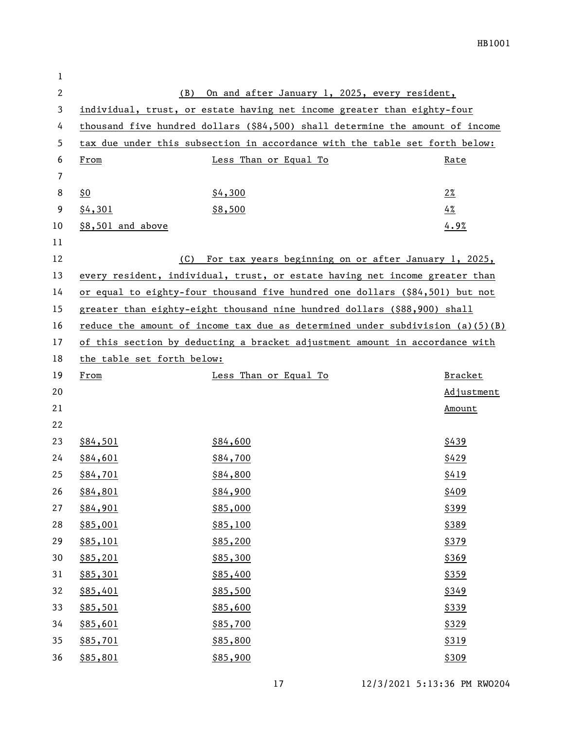| 1              |                            |                                                                                 |                |
|----------------|----------------------------|---------------------------------------------------------------------------------|----------------|
| $\mathbf{2}$   | (B)                        | On and after January 1, 2025, every resident,                                   |                |
| 3              |                            | individual, trust, or estate having net income greater than eighty-four         |                |
| 4              |                            | thousand five hundred dollars (\$84,500) shall determine the amount of income   |                |
| 5              |                            | tax due under this subsection in accordance with the table set forth below:     |                |
| 6              | From                       | Less Than or Equal To                                                           | Rate           |
| $\overline{7}$ |                            |                                                                                 |                |
| 8              | \$0                        | \$4,300                                                                         | $2\%$          |
| 9              | \$4,301                    | \$8,500                                                                         | 4%             |
| 10             | \$8,501 and above          |                                                                                 | 4.9%           |
| 11             |                            |                                                                                 |                |
| 12             | (C)                        | For tax years beginning on or after January 1, 2025,                            |                |
| 13             |                            | every resident, individual, trust, or estate having net income greater than     |                |
| 14             |                            | or equal to eighty-four thousand five hundred one dollars (\$84,501) but not    |                |
| 15             |                            | greater than eighty-eight thousand nine hundred dollars (\$88,900) shall        |                |
| 16             |                            | reduce the amount of income tax due as determined under subdivision $(a)(5)(B)$ |                |
| 17             |                            | of this section by deducting a bracket adjustment amount in accordance with     |                |
| 18             | the table set forth below: |                                                                                 |                |
| 19             | From                       | Less Than or Equal To                                                           | <b>Bracket</b> |
| 20             |                            |                                                                                 | Adjustment     |
| 21             |                            |                                                                                 | Amount         |
| 22             |                            |                                                                                 |                |
| 23             | \$84,501                   | \$84,600                                                                        | \$439          |
| 24             | \$84,601                   | \$84,700                                                                        | \$429          |
| 25             | \$84,701                   | \$84,800                                                                        | \$419          |
| 26             | \$84,801                   | \$84,900                                                                        | \$409          |
| 27             | \$84,901                   | \$85,000                                                                        | \$399          |
| 28             | \$85,001                   | \$85,100                                                                        | \$389          |
| 29             | \$85,101                   | \$85,200                                                                        | \$379          |
| 30             | \$85,201                   | \$85,300                                                                        | \$369          |
| 31             | \$85,301                   | \$85,400                                                                        | \$359          |
| 32             | \$85,401                   | \$85,500                                                                        | \$349          |
| 33             | \$85,501                   | \$85,600                                                                        | \$339          |
| 34             | \$85,601                   | \$85,700                                                                        | \$329          |
| 35             | \$85,701                   | \$85,800                                                                        | \$319          |
| 36             | \$85,801                   | \$85,900                                                                        | \$309          |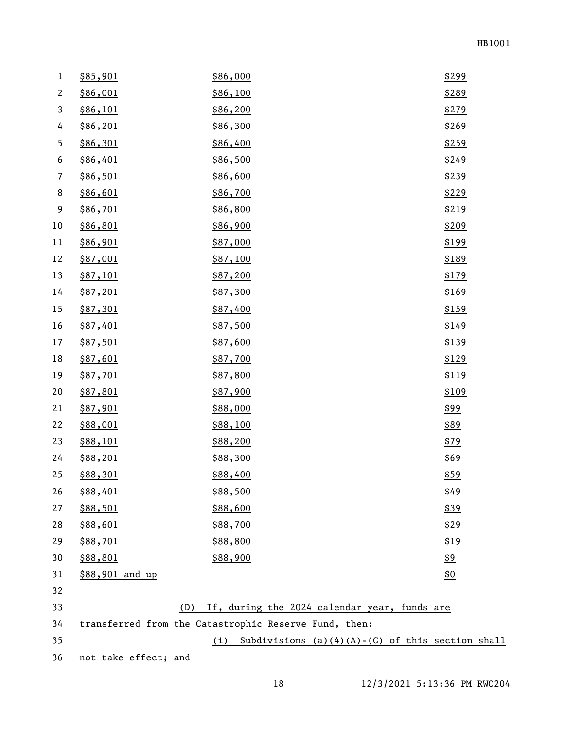| 1                | \$85,901             | \$86,000                                                  | \$299                     |
|------------------|----------------------|-----------------------------------------------------------|---------------------------|
| $\mathbf{2}$     | \$86,001             | \$86,100                                                  | \$289                     |
| $\mathbf{3}$     | \$86,101             | \$86,200                                                  | \$279                     |
| 4                | \$86,201             | \$86,300                                                  | \$269                     |
| 5                | \$86,301             | \$86,400                                                  | \$259                     |
| 6                | \$86,401             | \$86,500                                                  | \$249                     |
| $\overline{7}$   | \$86,501             | \$86,600                                                  | \$239                     |
| $\,8\,$          | \$86,601             | \$86,700                                                  | \$229                     |
| $\boldsymbol{9}$ | \$86,701             | \$86,800                                                  | \$219                     |
| 10               | \$86,801             | \$86,900                                                  | \$209                     |
| 11               | \$86,901             | \$87,000                                                  | \$199                     |
| 12               | \$87,001             | \$87,100                                                  | \$189                     |
| 13               | \$87,101             | \$87,200                                                  | \$179                     |
| 14               | \$87,201             | \$87,300                                                  | \$169                     |
| 15               | \$87,301             | \$87,400                                                  | \$159                     |
| 16               | \$87,401             | \$87,500                                                  | \$149                     |
| 17               | \$87,501             | \$87,600                                                  | \$139                     |
| 18               | \$87,601             | \$87,700                                                  | \$129                     |
| 19               | \$87,701             | \$87,800                                                  | \$119                     |
| 20               | \$87,801             | \$87,900                                                  | \$109                     |
| 21               | \$87,901             | \$88,000                                                  | <u>\$99</u>               |
| 22               | \$88,001             | \$88,100                                                  | \$89                      |
| 23               | \$88,101             | \$88,200                                                  | \$79                      |
| 24               | \$88,201             | \$88,300                                                  | \$69                      |
| 25               | \$88,301             | \$88,400                                                  | <u>\$59</u>               |
| 26               | \$88,401             | \$88,500                                                  | \$49                      |
| 27               | \$88,501             | \$88,600                                                  | \$39                      |
| 28               | \$88,601             | \$88,700                                                  | \$29                      |
| 29               | \$88,701             | \$88,800                                                  | \$19                      |
| 30               | \$88,801             | \$88,900                                                  | <u>\$9</u>                |
| 31               | \$88,901 and up      |                                                           | $\underline{\mathsf{S0}}$ |
| 32               |                      |                                                           |                           |
| 33               | (D)                  | If, during the 2024 calendar year, funds are              |                           |
| 34               |                      | transferred from the Catastrophic Reserve Fund, then:     |                           |
| 35               |                      | Subdivisions $(a)(4)(A)-(C)$ of this section shall<br>(i) |                           |
| 36               | not take effect; and |                                                           |                           |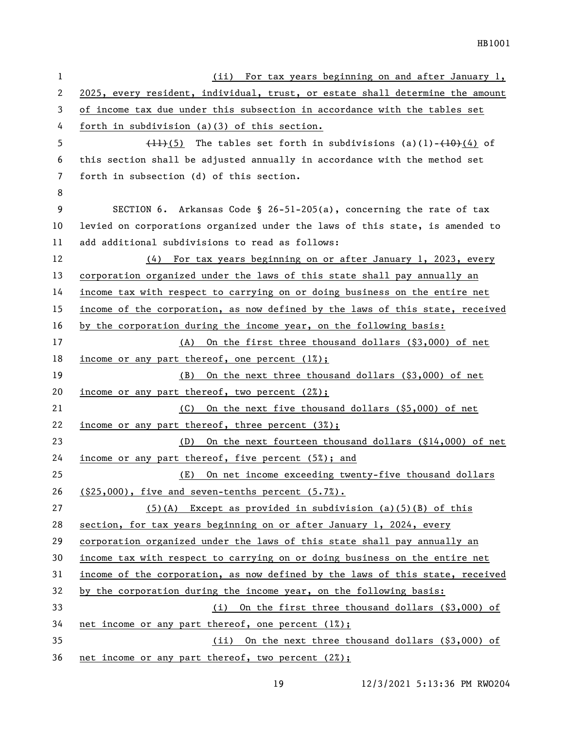| $\mathbf{1}$ | (ii) For tax years beginning on and after January 1,                          |
|--------------|-------------------------------------------------------------------------------|
| $\mathbf{2}$ | 2025, every resident, individual, trust, or estate shall determine the amount |
| 3            | of income tax due under this subsection in accordance with the tables set     |
| 4            | forth in subdivision $(a)(3)$ of this section.                                |
| 5            | $(11)(5)$ The tables set forth in subdivisions (a)(1)- $(10)(4)$ of           |
| 6            | this section shall be adjusted annually in accordance with the method set     |
| 7            | forth in subsection (d) of this section.                                      |
| 8            |                                                                               |
| 9            | SECTION 6. Arkansas Code § 26-51-205(a), concerning the rate of tax           |
| 10           | levied on corporations organized under the laws of this state, is amended to  |
| 11           | add additional subdivisions to read as follows:                               |
| 12           | (4) For tax years beginning on or after January 1, 2023, every                |
| 13           | corporation organized under the laws of this state shall pay annually an      |
| 14           | income tax with respect to carrying on or doing business on the entire net    |
| 15           | income of the corporation, as now defined by the laws of this state, received |
| 16           | by the corporation during the income year, on the following basis:            |
| 17           | On the first three thousand dollars (\$3,000) of net<br>(A)                   |
| 18           | <u>income or any part thereof, one percent <math>(1%)</math>;</u>             |
| 19           | On the next three thousand dollars (\$3,000) of net<br>(B)                    |
| 20           | income or any part thereof, two percent $(2\%)$ ;                             |
| 21           | On the next five thousand dollars (\$5,000) of net<br>(C)                     |
| 22           | income or any part thereof, three percent (3%);                               |
| 23           | On the next fourteen thousand dollars (\$14,000) of net<br>(D)                |
| 24           | income or any part thereof, five percent (5%); and                            |
| 25           | (E) On net income exceeding twenty-five thousand dollars                      |
| 26           | $( $25,000)$ , five and seven-tenths percent $(5.7\%)$ .                      |
| 27           | $(5)(A)$ Except as provided in subdivision (a)(5)(B) of this                  |
| 28           | section, for tax years beginning on or after January 1, 2024, every           |
| 29           | corporation organized under the laws of this state shall pay annually an      |
| 30           | income tax with respect to carrying on or doing business on the entire net    |
| 31           | income of the corporation, as now defined by the laws of this state, received |
| 32           | by the corporation during the income year, on the following basis:            |
| 33           | (i) On the first three thousand dollars (\$3,000) of                          |
| 34           | net income or any part thereof, one percent (1%);                             |
| 35           | (ii) On the next three thousand dollars (\$3,000) of                          |
| 36           | net income or any part thereof, two percent (2%);                             |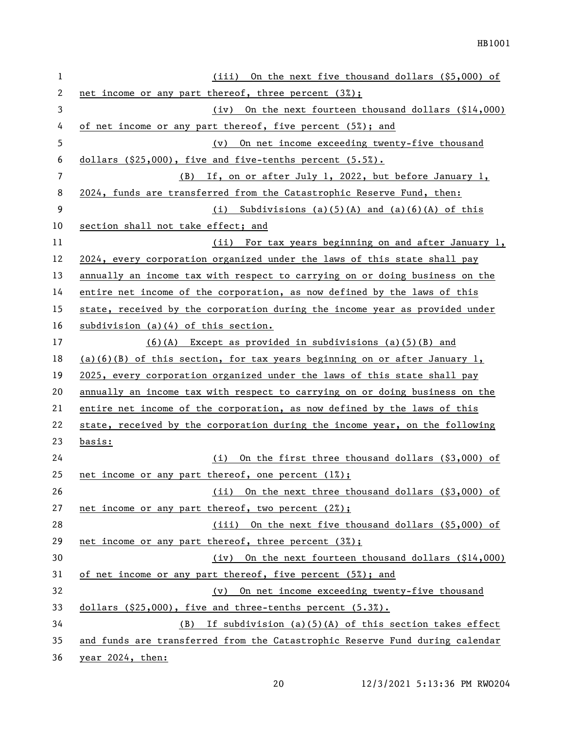| $\mathbf{1}$ | On the next five thousand dollars (\$5,000) of<br>(iii)                      |
|--------------|------------------------------------------------------------------------------|
| 2            | net income or any part thereof, three percent (3%);                          |
| 3            | (iv) On the next fourteen thousand dollars $(\$14,000)$                      |
| 4            | of net income or any part thereof, five percent (5%); and                    |
| 5            | On net income exceeding twenty-five thousand<br>(v)                          |
| 6            | dollars (\$25,000), five and five-tenths percent (5.5%).                     |
| 7            | (B) If, on or after July 1, 2022, but before January 1,                      |
| 8            | 2024, funds are transferred from the Catastrophic Reserve Fund, then:        |
| 9            | (i) Subdivisions (a)(5)(A) and (a)(6)(A) of this                             |
| 10           | section shall not take effect; and                                           |
| 11           | <u>(ii) For tax years beginning on and after January 1,</u>                  |
| 12           | 2024, every corporation organized under the laws of this state shall pay     |
| 13           | annually an income tax with respect to carrying on or doing business on the  |
| 14           | entire net income of the corporation, as now defined by the laws of this     |
| 15           | state, received by the corporation during the income year as provided under  |
| 16           | $subdivision$ (a)(4) of this section.                                        |
| 17           | $(6)(A)$ Except as provided in subdivisions $(a)(5)(B)$ and                  |
| 18           | $(a)(6)(B)$ of this section, for tax years beginning on or after January 1,  |
| 19           | 2025, every corporation organized under the laws of this state shall pay     |
| 20           | annually an income tax with respect to carrying on or doing business on the  |
| 21           | entire net income of the corporation, as now defined by the laws of this     |
| 22           | state, received by the corporation during the income year, on the following  |
| 23           | <u>basis:</u>                                                                |
| 24           | On the first three thousand dollars (\$3,000) of<br>(i)                      |
| 25           | net income or any part thereof, one percent (1%);                            |
| 26           | On the next three thousand dollars (\$3,000) of<br>(ii)                      |
| 27           | net income or any part thereof, two percent (2%);                            |
| 28           | (iii) On the next five thousand dollars (\$5,000) of                         |
| 29           | net income or any part thereof, three percent (3%);                          |
| 30           | (iv) On the next fourteen thousand dollars (\$14,000)                        |
| 31           | of net income or any part thereof, five percent (5%); and                    |
| 32           | (v) On net income exceeding twenty-five thousand                             |
| 33           | dollars (\$25,000), five and three-tenths percent (5.3%).                    |
| 34           | $(B)$ If subdivision (a)(5)(A) of this section takes effect                  |
| 35           | and funds are transferred from the Catastrophic Reserve Fund during calendar |
| 36           | year 2024, then:                                                             |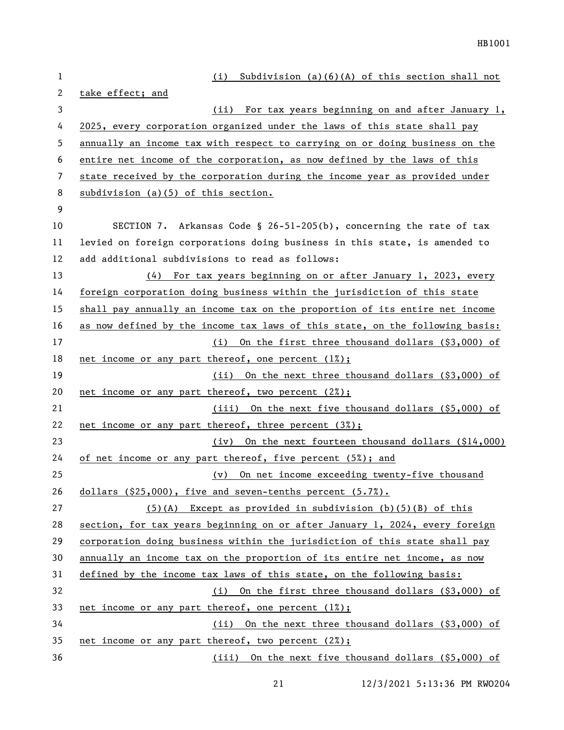| 1  | Subdivision $(a)(6)(A)$ of this section shall not<br>(i)                     |
|----|------------------------------------------------------------------------------|
| 2  | take effect; and                                                             |
| 3  | (ii)<br>For tax years beginning on and after January 1,                      |
| 4  | 2025, every corporation organized under the laws of this state shall pay     |
| 5  | annually an income tax with respect to carrying on or doing business on the  |
| 6  | entire net income of the corporation, as now defined by the laws of this     |
| 7  | state received by the corporation during the income year as provided under   |
| 8  | subdivision (a)(5) of this section.                                          |
| 9  |                                                                              |
| 10 | SECTION 7. Arkansas Code § 26-51-205(b), concerning the rate of tax          |
| 11 | levied on foreign corporations doing business in this state, is amended to   |
| 12 | add additional subdivisions to read as follows:                              |
| 13 | (4) For tax years beginning on or after January 1, 2023, every               |
| 14 | foreign corporation doing business within the jurisdiction of this state     |
| 15 | shall pay annually an income tax on the proportion of its entire net income  |
| 16 | as now defined by the income tax laws of this state, on the following basis: |
| 17 | (i) On the first three thousand dollars (\$3,000) of                         |
| 18 | net income or any part thereof, one percent $(1%)$ ;                         |
| 19 | (ii) On the next three thousand dollars (\$3,000) of                         |
| 20 | net income or any part thereof, two percent (2%);                            |
| 21 | (iii) On the next five thousand dollars (\$5,000) of                         |
| 22 | net income or any part thereof, three percent (3%);                          |
| 23 | (iv) On the next fourteen thousand dollars (\$14,000)                        |
| 24 | of net income or any part thereof, five percent (5%); and                    |
| 25 | (v) On net income exceeding twenty-five thousand                             |
| 26 | dollars $(25,000)$ , five and seven-tenths percent $(5.7%)$ .                |
| 27 | $(5)(A)$ Except as provided in subdivision (b)(5)(B) of this                 |
| 28 | section, for tax years beginning on or after January 1, 2024, every foreign  |
| 29 | corporation doing business within the jurisdiction of this state shall pay   |
| 30 | annually an income tax on the proportion of its entire net income, as now    |
| 31 | defined by the income tax laws of this state, on the following basis:        |
| 32 | (i) On the first three thousand dollars (\$3,000) of                         |
| 33 | net income or any part thereof, one percent (1%);                            |
| 34 | (ii) On the next three thousand dollars (\$3,000) of                         |
| 35 | net income or any part thereof, two percent (2%);                            |
| 36 | (iii) On the next five thousand dollars (\$5,000) of                         |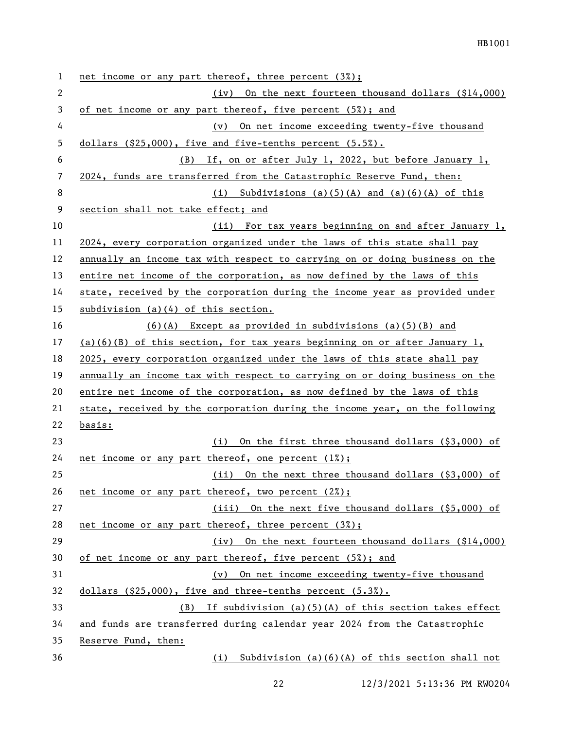| 1  | net income or any part thereof, three percent $(3%)$ ;                      |
|----|-----------------------------------------------------------------------------|
| 2  | (iv) On the next fourteen thousand dollars $(\$14,000)$                     |
| 3  | of net income or any part thereof, five percent (5%); and                   |
| 4  | (v) On net income exceeding twenty-five thousand                            |
| 5  | dollars $(25,000)$ , five and five-tenths percent $(5.5%)$ .                |
| 6  | (B) If, on or after July 1, 2022, but before January 1,                     |
| 7  | 2024, funds are transferred from the Catastrophic Reserve Fund, then:       |
| 8  | (i) Subdivisions (a)(5)(A) and (a)(6)(A) of this                            |
| 9  | section shall not take effect; and                                          |
| 10 | (ii) For tax years beginning on and after January 1,                        |
| 11 | 2024, every corporation organized under the laws of this state shall pay    |
| 12 | annually an income tax with respect to carrying on or doing business on the |
| 13 | entire net income of the corporation, as now defined by the laws of this    |
| 14 | state, received by the corporation during the income year as provided under |
| 15 | subdivision $(a)(4)$ of this section.                                       |
| 16 | $(6)(A)$ Except as provided in subdivisions $(a)(5)(B)$ and                 |
| 17 | $(a)(6)(B)$ of this section, for tax years beginning on or after January 1, |
| 18 | 2025, every corporation organized under the laws of this state shall pay    |
| 19 | annually an income tax with respect to carrying on or doing business on the |
| 20 | entire net income of the corporation, as now defined by the laws of this    |
| 21 | state, received by the corporation during the income year, on the following |
| 22 | basis:                                                                      |
| 23 | (i) On the first three thousand dollars (\$3,000) of                        |
| 24 | net income or any part thereof, one percent $(1%)$ ;                        |
| 25 | (ii) On the next three thousand dollars (\$3,000) of                        |
| 26 | net income or any part thereof, two percent (2%);                           |
| 27 | (iii) On the next five thousand dollars (\$5,000) of                        |
| 28 | net income or any part thereof, three percent (3%);                         |
| 29 | On the next fourteen thousand dollars (\$14,000)<br>(iv)                    |
| 30 | of net income or any part thereof, five percent (5%); and                   |
| 31 | On net income exceeding twenty-five thousand<br>$(\nu)$                     |
| 32 | dollars (\$25,000), five and three-tenths percent (5.3%).                   |
| 33 | $(B)$ If subdivision (a)(5)(A) of this section takes effect                 |
| 34 | and funds are transferred during calendar year 2024 from the Catastrophic   |
| 35 | Reserve Fund, then:                                                         |
| 36 | Subdivision $(a)(6)(A)$ of this section shall not<br>(i)                    |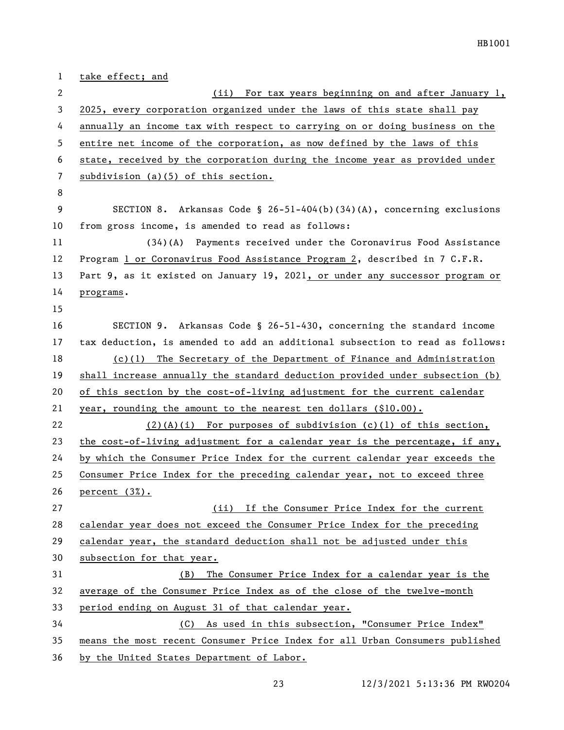take effect; and (ii) For tax years beginning on and after January 1, 2025, every corporation organized under the laws of this state shall pay annually an income tax with respect to carrying on or doing business on the entire net income of the corporation, as now defined by the laws of this state, received by the corporation during the income year as provided under subdivision (a)(5) of this section. SECTION 8. Arkansas Code § 26-51-404(b)(34)(A), concerning exclusions from gross income, is amended to read as follows: (34)(A) Payments received under the Coronavirus Food Assistance Program 1 or Coronavirus Food Assistance Program 2, described in 7 C.F.R. Part 9, as it existed on January 19, 2021, or under any successor program or programs. SECTION 9. Arkansas Code § 26-51-430, concerning the standard income tax deduction, is amended to add an additional subsection to read as follows: (c)(1) The Secretary of the Department of Finance and Administration shall increase annually the standard deduction provided under subsection (b) of this section by the cost-of-living adjustment for the current calendar year, rounding the amount to the nearest ten dollars (\$10.00). (2)(A)(i) For purposes of subdivision (c)(1) of this section, the cost-of-living adjustment for a calendar year is the percentage, if any, by which the Consumer Price Index for the current calendar year exceeds the Consumer Price Index for the preceding calendar year, not to exceed three percent (3%). (ii) If the Consumer Price Index for the current calendar year does not exceed the Consumer Price Index for the preceding calendar year, the standard deduction shall not be adjusted under this subsection for that year. (B) The Consumer Price Index for a calendar year is the average of the Consumer Price Index as of the close of the twelve-month period ending on August 31 of that calendar year. (C) As used in this subsection, "Consumer Price Index" means the most recent Consumer Price Index for all Urban Consumers published by the United States Department of Labor.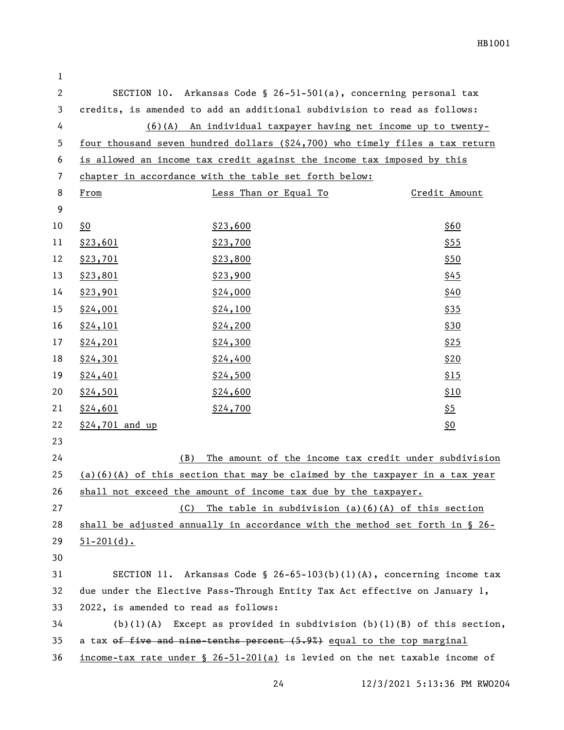| 1              |                                      |                                                                                                           |               |
|----------------|--------------------------------------|-----------------------------------------------------------------------------------------------------------|---------------|
| $\overline{c}$ |                                      | SECTION 10. Arkansas Code § 26-51-501(a), concerning personal tax                                         |               |
| 3              |                                      | credits, is amended to add an additional subdivision to read as follows:                                  |               |
| 4              |                                      | $(6)(A)$ An individual taxpayer having net income up to twenty-                                           |               |
| 5              |                                      | four thousand seven hundred dollars (\$24,700) who timely files a tax return                              |               |
| 6              |                                      | is allowed an income tax credit against the income tax imposed by this                                    |               |
| 7              |                                      | chapter in accordance with the table set forth below:                                                     |               |
| 8              | From                                 | Less Than or Equal To                                                                                     | Credit Amount |
| 9              |                                      |                                                                                                           |               |
| 10             | \$0                                  | \$23,600                                                                                                  | \$60          |
| 11             | \$23,601                             | \$23,700                                                                                                  | \$55          |
| 12             | \$23,701                             | \$23,800                                                                                                  | \$50          |
| 13             | \$23,801                             | \$23,900                                                                                                  | \$45          |
| 14             | \$23,901                             | \$24,000                                                                                                  | \$40          |
| 15             | \$24,001                             | \$24,100                                                                                                  | \$35          |
| 16             | \$24,101                             | \$24,200                                                                                                  | \$30          |
| 17             | \$24,201                             | \$24,300                                                                                                  | \$25          |
| 18             | \$24,301                             | \$24,400                                                                                                  | \$20          |
| 19             | \$24,401                             | \$24,500                                                                                                  | \$15          |
| 20             | \$24,501                             | \$24,600                                                                                                  | \$10          |
| 21             | \$24,601                             | \$24,700                                                                                                  | <u>\$5</u>    |
| 22             | \$24,701 and up                      |                                                                                                           | <u>\$0</u>    |
| 23             |                                      |                                                                                                           |               |
| 24             | (B)                                  | The amount of the income tax credit under subdivision                                                     |               |
| 25             |                                      | $(a)(6)(A)$ of this section that may be claimed by the taxpayer in a tax year                             |               |
| 26             |                                      | shall not exceed the amount of income tax due by the taxpayer.                                            |               |
| 27             | (C)                                  | The table in subdivision $(a)(6)(A)$ of this section                                                      |               |
| 28             |                                      | shall be adjusted annually in accordance with the method set forth in § 26-                               |               |
| 29             | $51 - 201(d)$ .                      |                                                                                                           |               |
| 30             |                                      |                                                                                                           |               |
| 31             |                                      | SECTION 11. Arkansas Code § 26-65-103(b)(1)(A), concerning income tax                                     |               |
| 32             |                                      | due under the Elective Pass-Through Entity Tax Act effective on January 1,                                |               |
| 33             | 2022, is amended to read as follows: |                                                                                                           |               |
| 34             |                                      | $(b)(1)(A)$ Except as provided in subdivision $(b)(1)(B)$ of this section,                                |               |
| 35             |                                      | a tax of five and nine-tenths percent (5.9%) equal to the top marginal                                    |               |
| 36             |                                      | <u>income-tax rate under <math>\frac{1}{2}</math> 26-51-201(a)</u> is levied on the net taxable income of |               |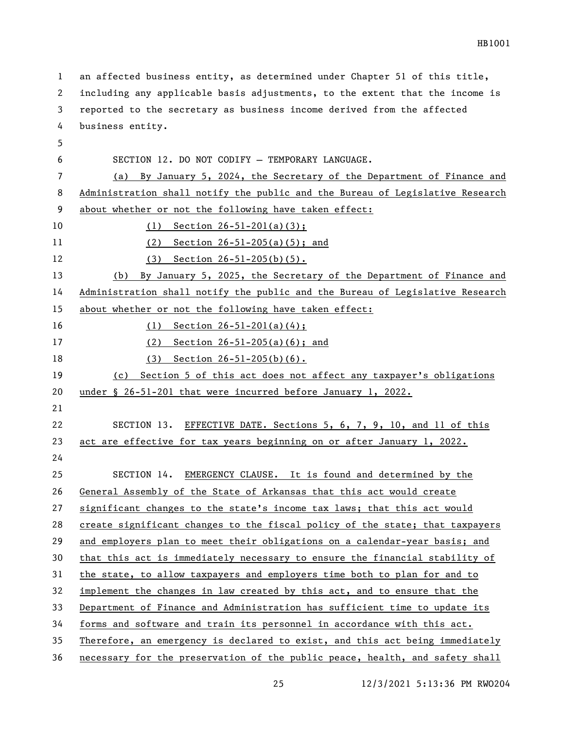| 1  | an affected business entity, as determined under Chapter 51 of this title,    |
|----|-------------------------------------------------------------------------------|
| 2  | including any applicable basis adjustments, to the extent that the income is  |
| 3  | reported to the secretary as business income derived from the affected        |
| 4  | business entity.                                                              |
| 5  |                                                                               |
| 6  | SECTION 12. DO NOT CODIFY - TEMPORARY LANGUAGE.                               |
| 7  | By January 5, 2024, the Secretary of the Department of Finance and<br>(a)     |
| 8  | Administration shall notify the public and the Bureau of Legislative Research |
| 9  | about whether or not the following have taken effect:                         |
| 10 | Section $26 - 51 - 201(a)(3)$ ;<br>(1)                                        |
| 11 | Section $26 - 51 - 205$ (a) (5); and<br>(2)                                   |
| 12 | (3)<br>Section $26 - 51 - 205(b)(5)$ .                                        |
| 13 | By January 5, 2025, the Secretary of the Department of Finance and<br>(b)     |
| 14 | Administration shall notify the public and the Bureau of Legislative Research |
| 15 | about whether or not the following have taken effect:                         |
| 16 | (1)<br>Section $26-51-201(a)(4)$ ;                                            |
| 17 | Section $26 - 51 - 205$ (a) (6); and<br>(2)                                   |
| 18 | $(3)$ Section 26-51-205(b)(6).                                                |
| 19 | Section 5 of this act does not affect any taxpayer's obligations<br>(c)       |
| 20 | under § 26-51-201 that were incurred before January 1, 2022.                  |
| 21 |                                                                               |
| 22 | SECTION 13. EFFECTIVE DATE. Sections 5, 6, 7, 9, 10, and 11 of this           |
| 23 | act are effective for tax years beginning on or after January 1, 2022.        |
| 24 |                                                                               |
| 25 | EMERGENCY CLAUSE. It is found and determined by the<br>SECTION 14.            |
| 26 | General Assembly of the State of Arkansas that this act would create          |
| 27 | significant changes to the state's income tax laws; that this act would       |
| 28 | create significant changes to the fiscal policy of the state; that taxpayers  |
| 29 | and employers plan to meet their obligations on a calendar-year basis; and    |
| 30 | that this act is immediately necessary to ensure the financial stability of   |
| 31 | the state, to allow taxpayers and employers time both to plan for and to      |
| 32 | implement the changes in law created by this act, and to ensure that the      |
| 33 | Department of Finance and Administration has sufficient time to update its    |
| 34 | forms and software and train its personnel in accordance with this act.       |
| 35 | Therefore, an emergency is declared to exist, and this act being immediately  |
| 36 | necessary for the preservation of the public peace, health, and safety shall  |